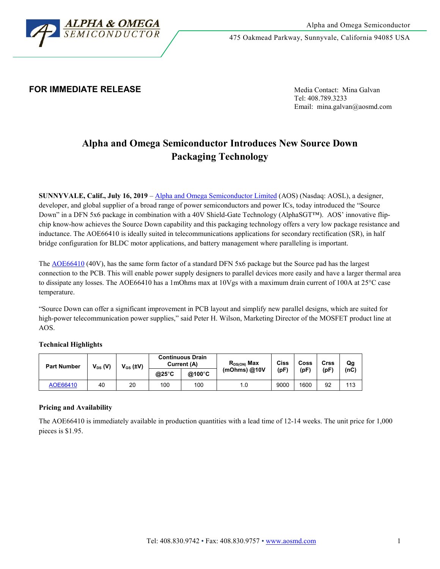

475 Oakmead Parkway, Sunnyvale, California 94085 USA

# **FOR IMMEDIATE RELEASE** Media Contact: Mina Galvan

Tel: 408.789.3233 Email: mina.galvan@aosmd.com

# **Alpha and Omega Semiconductor Introduces New Source Down Packaging Technology**

**SUNNYVALE, Calif., July 16, 2019** – [Alpha and Omega Semiconductor Limited](http://www.aosmd.com/) (AOS) (Nasdaq: AOSL), a designer, developer, and global supplier of a broad range of power semiconductors and power ICs, today introduced the "Source Down" in a DFN 5x6 package in combination with a 40V Shield-Gate Technology (AlphaSGT™). AOS' innovative flipchip know-how achieves the Source Down capability and this packaging technology offers a very low package resistance and inductance. The AOE66410 is ideally suited in telecommunications applications for secondary rectification (SR), in half bridge configuration for BLDC motor applications, and battery management where paralleling is important.

The **AOE66410** (40V), has the same form factor of a standard DFN 5x6 package but the Source pad has the largest connection to the PCB. This will enable power supply designers to parallel devices more easily and have a larger thermal area to dissipate any losses. The AOE66410 has a 1mOhms max at 10Vgs with a maximum drain current of 100A at 25°C case temperature.

"Source Down can offer a significant improvement in PCB layout and simplify new parallel designs, which are suited for high-power telecommunication power supplies," said Peter H. Wilson, Marketing Director of the MOSFET product line at AOS.

## **Technical Highlights**

| <b>Part Number</b> | $V_{DS}$ (V) | $V_{GS}$ (±V) | <b>Continuous Drain</b><br>Current (A) |        | $R_{DS(ON)}$ Max | Ciss | Coss | Crss | Qg   |
|--------------------|--------------|---------------|----------------------------------------|--------|------------------|------|------|------|------|
|                    |              |               | $@25^{\circ}C$                         | @100°C | (mOhms) $@10V$   | (pF` | (pF' | (pF) | (nC) |
| AOE66410           | 40           | 20            | 100                                    | 100    | 1.0              | 9000 | 1600 | 92   | 113  |

## **Pricing and Availability**

The AOE66410 is immediately available in production quantities with a lead time of 12-14 weeks. The unit price for 1,000 pieces is \$1.95.